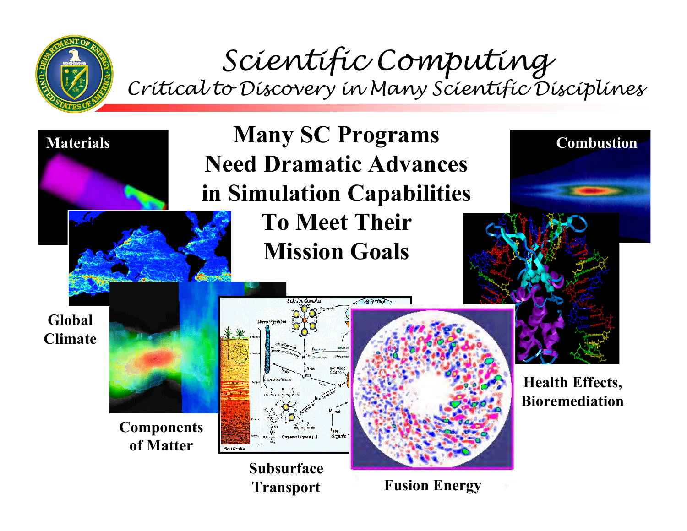

#### Scientific Computing Critical to Discovery in Many Scientific Disciplines



**Transport**

**Fusion Energy**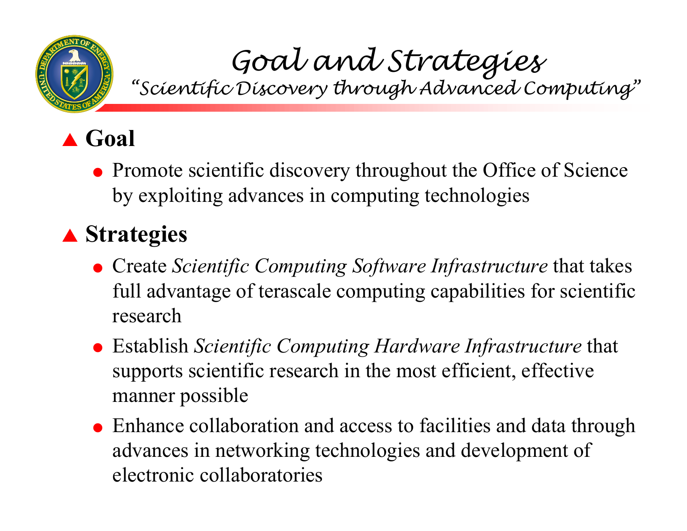

# Goal and Strategies<br>"Scientific Discovery through Advanced Computing"

# ! **Goal**

• Promote scientific discovery throughout the Office of Science by exploiting advances in computing technologies

#### ! **Strategies**

- **Create Scientific Computing Software Infrastructure that takes** full advantage of terascale computing capabilities for scientific research
- " Establish *Scientific Computing Hardware Infrastructure* that supports scientific research in the most efficient, effective manner possible
- Enhance collaboration and access to facilities and data through advances in networking technologies and development of electronic collaboratories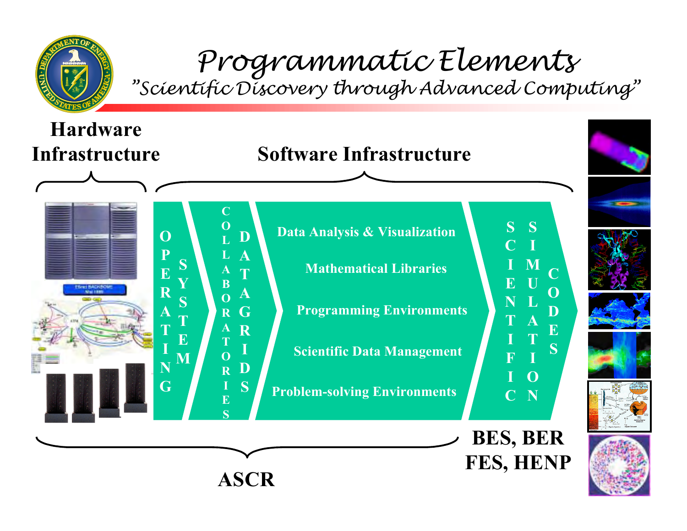

# Programmatic Elements<br>"Scientific Discovery through Advanced Computing"

**FES, HENP ASCR**

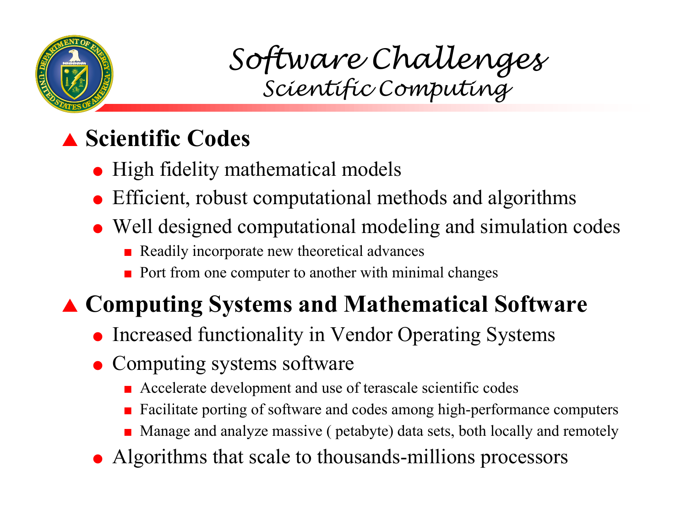

Software Challenges Scientific Computing

### ! **Scientific Codes**

- High fidelity mathematical models
- $\bullet$  Efficient, robust computational methods and algorithms
- Well designed computational modeling and simulation codes
	- $\blacksquare$  Readily incorporate new theoretical advances
	- #Port from one computer to another with minimal changes

# ! **Computing Systems and Mathematical Software**

- Increased functionality in Vendor Operating Systems
- Computing systems software
	- **E** Accelerate development and use of terascale scientific codes
	- #Facilitate porting of software and codes among high-performance computers
	- **Manage and analyze massive ( petabyte) data sets, both locally and remotely**
- Algorithms that scale to thousands-millions processors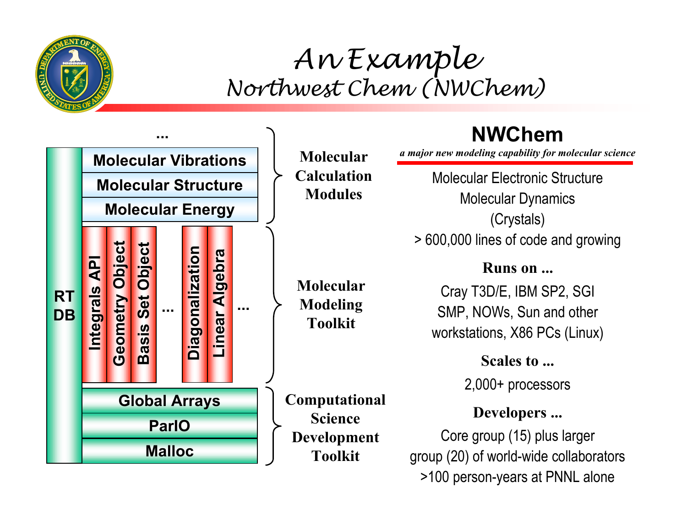

### An Example Northwest Chem (NWChem)



>100 person-years at PNNL alone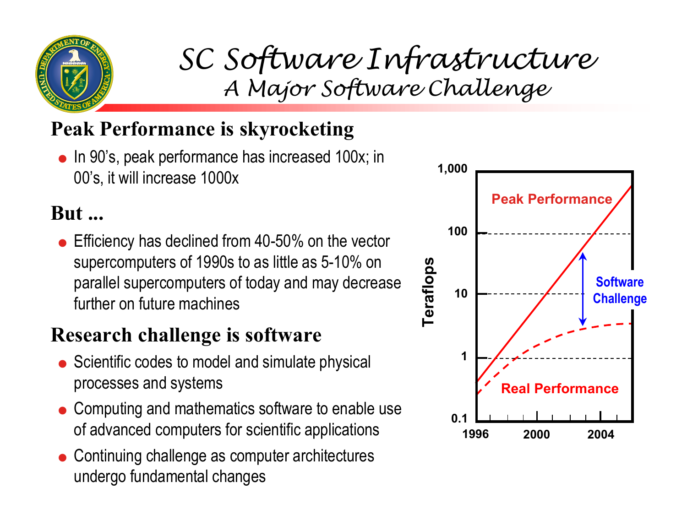

# SC Software Infrastructure A Major Software Challenge

#### **Peak Performance is skyrocketing**

 $\bullet$  In 90's, peak performance has increased 100x; in 00ís, it will increase 1000x

#### **But ...**

 $\bullet\,$  Efficiency has declined from 40-50% on the vector supercomputers of 1990s to as little as 5-10% on parallel supercomputers of today and may decrease further on future machines

#### **Research challenge is software**

- $\bullet$  Scientific codes to model and simulate physical processes and systems
- $\bullet$  Computing and mathematics software to enable use of advanced computers for scientific applications
- $\bullet$  Continuing challenge as computer architectures undergo fundamental changes

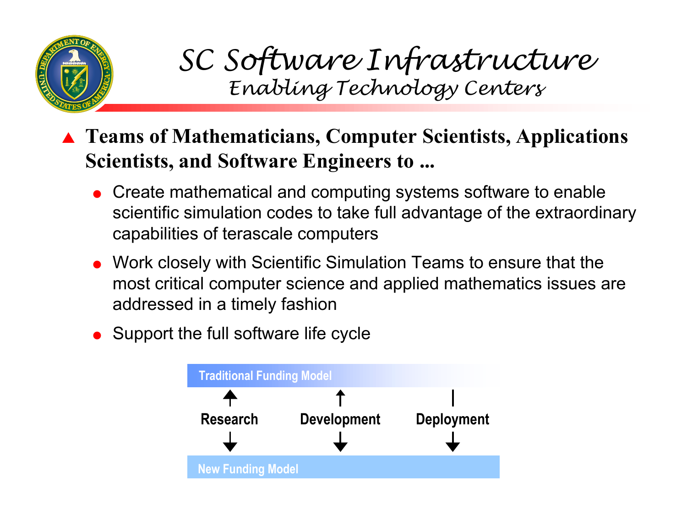

## SC Software Infrastructure Enabling Technology Centers

- ! **Teams of Mathematicians, Computer Scientists, Applications Scientists, and Software Engineers to ...**
	- $\bullet~$  Create mathematical and computing systems software to enable scientific simulation codes to take full advantage of the extraordinary capabilities of terascale computers
	- $\bullet~$  Work closely with Scientific Simulation Teams to ensure that the most critical computer science and applied mathematics issues are addressed in a timely fashion
	- Support the full software life cycle

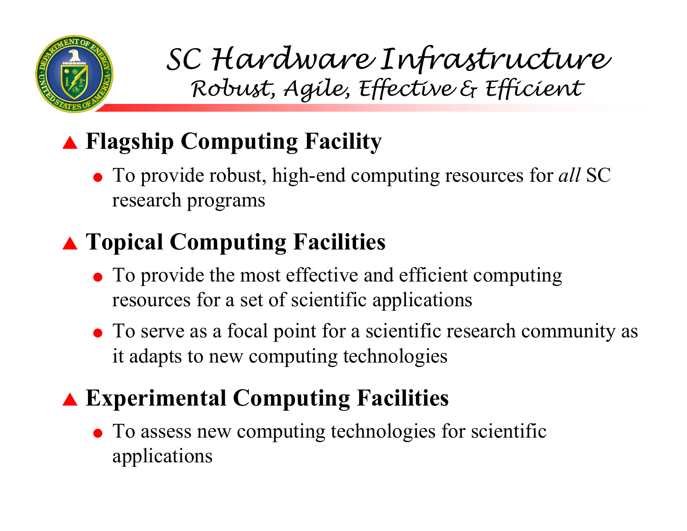

SC Hardware Infrastructure Robust, Agile, Effective & Efficient

# ! **Flagship Computing Facility**

• To provide robust, high-end computing resources for *all* SC research programs

### ! **Topical Computing Facilities**

- To provide the most effective and efficient computing resources for a set of scientific applications
- To serve as a focal point for a scientific research community as it adapts to new computing technologies

### ! **Experimental Computing Facilities**

• To assess new computing technologies for scientific applications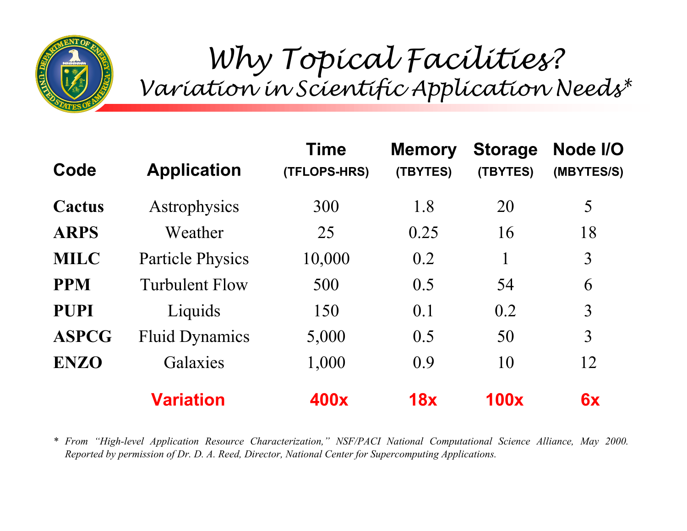

Why Topical Facilities? Variation in Scientific Application Needs\*

| Code         | <b>Application</b>      | <b>Time</b><br>(TFLOPS-HRS) | <b>Memory</b><br>(TBYTES) | <b>Storage</b><br>(TBYTES) | Node I/O<br>(MBYTES/S) |
|--------------|-------------------------|-----------------------------|---------------------------|----------------------------|------------------------|
| Cactus       | Astrophysics            | 300                         | 1.8                       | 20                         | 5                      |
| <b>ARPS</b>  | Weather                 | 25                          | 0.25                      | 16                         | 18                     |
| <b>MILC</b>  | <b>Particle Physics</b> | 10,000                      | 0.2                       |                            | $\overline{3}$         |
| <b>PPM</b>   | <b>Turbulent Flow</b>   | 500                         | 0.5                       | 54                         | 6                      |
| <b>PUPI</b>  | Liquids                 | 150                         | 0.1                       | 0.2                        | 3                      |
| <b>ASPCG</b> | <b>Fluid Dynamics</b>   | 5,000                       | 0.5                       | 50                         | $\overline{3}$         |
| <b>ENZO</b>  | Galaxies                | 1,000                       | 0.9                       | 10                         | 12                     |
|              | Variation               | 400x                        | 18x                       | <b>100x</b>                | 6x                     |

*\* From ìHigh-level Application Resource Characterization,î NSF/PACI National Computational Science Alliance, May 2000. Reported by permission of Dr. D. A. Reed, Director, National Center for Supercomputing Applications.*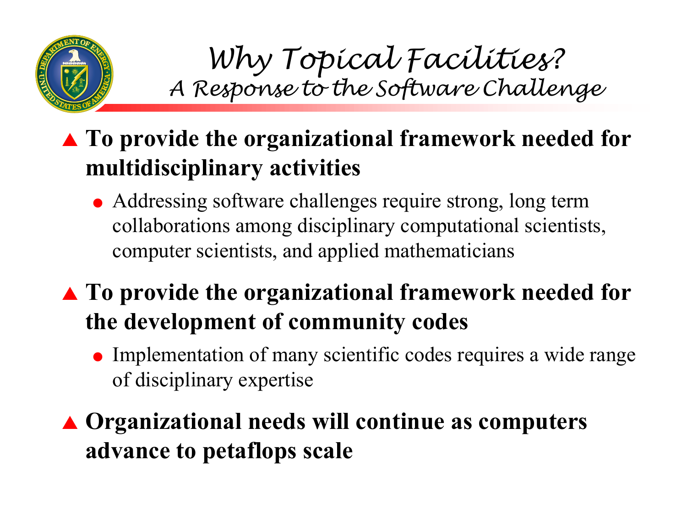

Why Topical Facilities? A Response to the Software Challenge

#### ! **To provide the organizational framework needed for multidisciplinary activities**

• Addressing software challenges require strong, long term collaborations among disciplinary computational scientists, computer scientists, and applied mathematicians

! **To provide the organizational framework needed for the development of community codes**

• Implementation of many scientific codes requires a wide range of disciplinary expertise

! **Organizational needs will continue as computers advance to petaflops scale**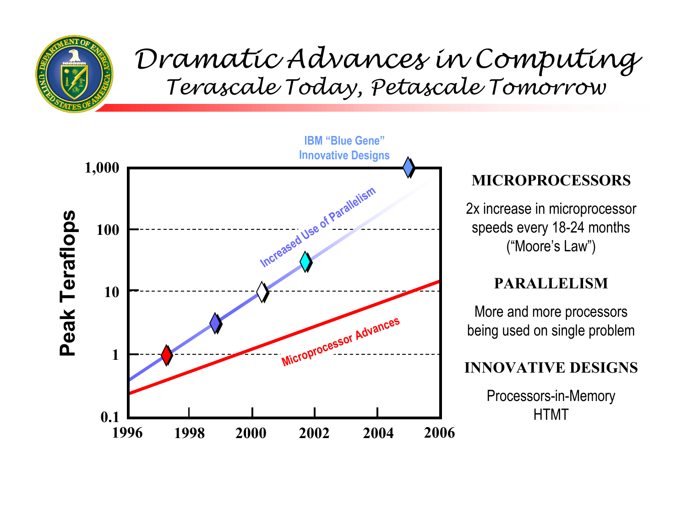

#### Dramatic Advances in Computing Terascale Today, Petascale Tomorrow

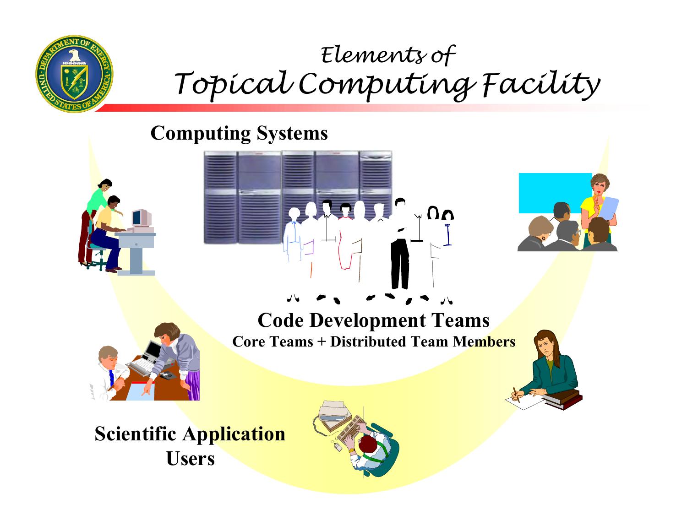

# Elements of Topical Computing Facility

 $\bigwedge_{\gamma} \Omega_{\gamma}$ 

#### **Computing Systems**



#### **Code Development Teams Core Teams + Distributed Team Members**



**Scientific Application Users**

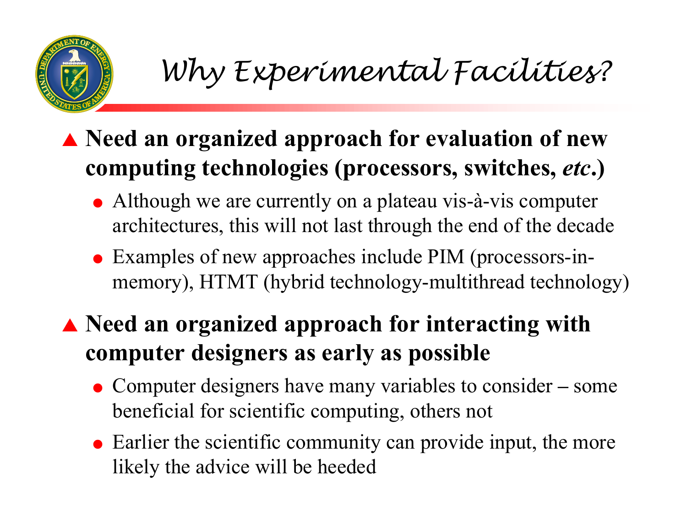Why Experimental Facilities?

#### ! **Need an organized approach for evaluation of new computing technologies (processors, switches,** *etc***.)**

- Although we are currently on a plateau vis-à-vis computer architectures, this will not last through the end of the decade
- Examples of new approaches include PIM (processors-inmemory), HTMT (hybrid technology-multithread technology)

#### ! **Need an organized approach for interacting with computer designers as early as possible**

- Computer designers have many variables to consider some beneficial for scientific computing, others not
- $\bullet$  Earlier the scientific community can provide input, the more likely the advice will be heeded